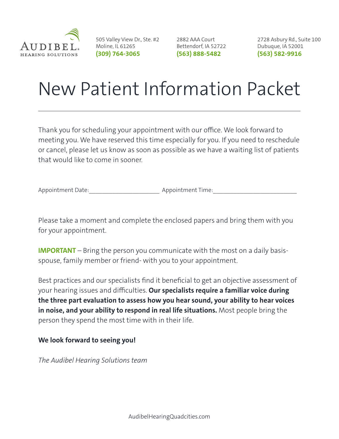

505 Valley View Dr., Ste. #2 2882 AAA Court Moline, IL 61265 **(309) 764-3065 (563) 888-5482**

Bettendorf, IA 52722

2728 Asbury Rd., Suite 100 Dubuque, IA 52001 **(563) 582-9916**

## New Patient Information Packet

Thank you for scheduling your appointment with our office. We look forward to meeting you. We have reserved this time especially for you. If you need to reschedule or cancel, please let us know as soon as possible as we have a waiting list of patients that would like to come in sooner.

Appointment Date:  $\blacksquare$ 

Please take a moment and complete the enclosed papers and bring them with you for your appointment.

**IMPORTANT** – Bring the person you communicate with the most on a daily basisspouse, family member or friend- with you to your appointment.

Best practices and our specialists find it beneficial to get an objective assessment of your hearing issues and difficulties. **Our specialists require a familiar voice during the three part evaluation to assess how you hear sound, your ability to hear voices in noise, and your ability to respond in real life situations.** Most people bring the person they spend the most time with in their life.

## **We look forward to seeing you!**

*The Audibel Hearing Solutions team*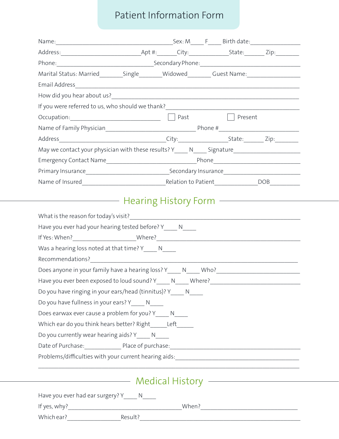## Patient Information Form

| Marital Status: Married_________Single________Widowed________Guest Name:___________________________                                                                                                                                      |  |  |
|------------------------------------------------------------------------------------------------------------------------------------------------------------------------------------------------------------------------------------------|--|--|
|                                                                                                                                                                                                                                          |  |  |
|                                                                                                                                                                                                                                          |  |  |
|                                                                                                                                                                                                                                          |  |  |
| Occupation: Present                                                                                                                                                                                                                      |  |  |
|                                                                                                                                                                                                                                          |  |  |
|                                                                                                                                                                                                                                          |  |  |
| May we contact your physician with these results? Y_____ N_____ Signature__________________________                                                                                                                                      |  |  |
|                                                                                                                                                                                                                                          |  |  |
|                                                                                                                                                                                                                                          |  |  |
|                                                                                                                                                                                                                                          |  |  |
| Was a hearing loss noted at that time? Y_____ N_____                                                                                                                                                                                     |  |  |
|                                                                                                                                                                                                                                          |  |  |
|                                                                                                                                                                                                                                          |  |  |
| Does anyone in your family have a hearing loss? Y_____ N_____ Who?__________________________________                                                                                                                                     |  |  |
|                                                                                                                                                                                                                                          |  |  |
| Do you have ringing in your ears/head (tinnitus)? Y_____ N____                                                                                                                                                                           |  |  |
| Do you have fullness in your ears? Y_____ N____                                                                                                                                                                                          |  |  |
| Does earwax ever cause a problem for you? Y______ N_____                                                                                                                                                                                 |  |  |
| Which ear do you think hears better? Right______Left______                                                                                                                                                                               |  |  |
| Do you currently wear hearing aids? Y_____ N_____                                                                                                                                                                                        |  |  |
| Date of Purchase: Place of purchase: Date Management Purchase Purchase and Purchase and Purchase Purchase and                                                                                                                            |  |  |
| Problems/difficulties with your current hearing aids:<br>Fig. 2014                                                                                                                                                                       |  |  |
|                                                                                                                                                                                                                                          |  |  |
| Medical History <b>Constitution Constructs</b> And Medical History <b>Constitution</b> Constants And Medical Media And Medical Medical Medical Medical Medical Medical Medical Medical Medical Medical Medical Medical Medical Medical M |  |  |
| Have you ever had ear surgery? Y_____ N____                                                                                                                                                                                              |  |  |
|                                                                                                                                                                                                                                          |  |  |
| Which ear? Result?                                                                                                                                                                                                                       |  |  |